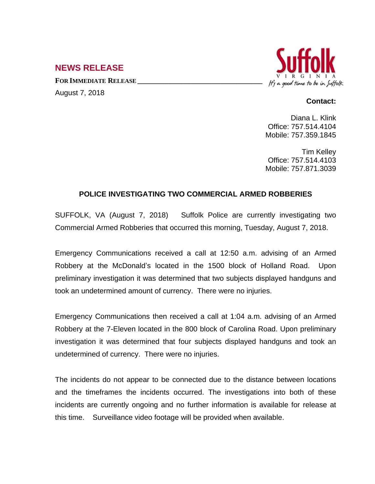## **NEWS RELEASE**

**FOR IMMEDIATE RELEASE \_\_\_\_\_\_\_\_\_\_\_\_\_\_\_\_\_\_\_\_\_\_\_\_\_\_\_\_\_\_\_\_\_\_** August 7, 2018



## **Contact:**

Diana L. Klink Office: 757.514.4104 Mobile: 757.359.1845

Tim Kelley Office: 757.514.4103 Mobile: 757.871.3039

## **POLICE INVESTIGATING TWO COMMERCIAL ARMED ROBBERIES**

SUFFOLK, VA (August 7, 2018) Suffolk Police are currently investigating two Commercial Armed Robberies that occurred this morning, Tuesday, August 7, 2018.

Emergency Communications received a call at 12:50 a.m. advising of an Armed Robbery at the McDonald's located in the 1500 block of Holland Road. Upon preliminary investigation it was determined that two subjects displayed handguns and took an undetermined amount of currency. There were no injuries.

Emergency Communications then received a call at 1:04 a.m. advising of an Armed Robbery at the 7-Eleven located in the 800 block of Carolina Road. Upon preliminary investigation it was determined that four subjects displayed handguns and took an undetermined of currency. There were no injuries.

The incidents do not appear to be connected due to the distance between locations and the timeframes the incidents occurred. The investigations into both of these incidents are currently ongoing and no further information is available for release at this time. Surveillance video footage will be provided when available.